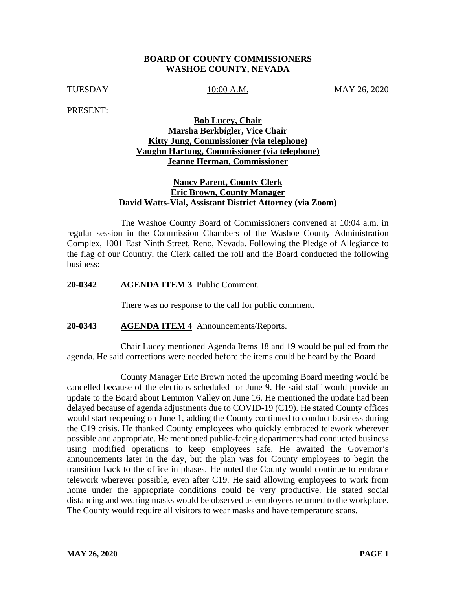#### **BOARD OF COUNTY COMMISSIONERS WASHOE COUNTY, NEVADA**

TUESDAY 10:00 A.M. MAY 26, 2020

PRESENT:

## **Bob Lucey, Chair Marsha Berkbigler, Vice Chair Kitty Jung, Commissioner (via telephone) Vaughn Hartung, Commissioner (via telephone) Jeanne Herman, Commissioner**

## **Nancy Parent, County Clerk Eric Brown, County Manager David Watts-Vial, Assistant District Attorney (via Zoom)**

The Washoe County Board of Commissioners convened at 10:04 a.m. in regular session in the Commission Chambers of the Washoe County Administration Complex, 1001 East Ninth Street, Reno, Nevada. Following the Pledge of Allegiance to the flag of our Country, the Clerk called the roll and the Board conducted the following business:

#### **20-0342 AGENDA ITEM 3** Public Comment.

There was no response to the call for public comment.

## **20-0343 AGENDA ITEM 4** Announcements/Reports.

Chair Lucey mentioned Agenda Items 18 and 19 would be pulled from the agenda. He said corrections were needed before the items could be heard by the Board.

County Manager Eric Brown noted the upcoming Board meeting would be cancelled because of the elections scheduled for June 9. He said staff would provide an update to the Board about Lemmon Valley on June 16. He mentioned the update had been delayed because of agenda adjustments due to COVID-19 (C19). He stated County offices would start reopening on June 1, adding the County continued to conduct business during the C19 crisis. He thanked County employees who quickly embraced telework wherever possible and appropriate. He mentioned public-facing departments had conducted business using modified operations to keep employees safe. He awaited the Governor's announcements later in the day, but the plan was for County employees to begin the transition back to the office in phases. He noted the County would continue to embrace telework wherever possible, even after C19. He said allowing employees to work from home under the appropriate conditions could be very productive. He stated social distancing and wearing masks would be observed as employees returned to the workplace. The County would require all visitors to wear masks and have temperature scans.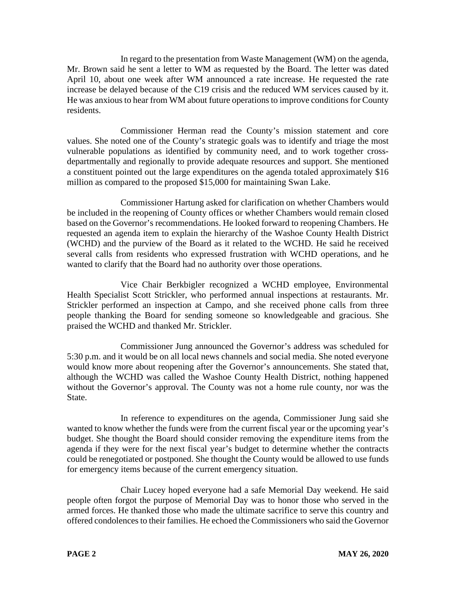In regard to the presentation from Waste Management (WM) on the agenda, Mr. Brown said he sent a letter to WM as requested by the Board. The letter was dated April 10, about one week after WM announced a rate increase. He requested the rate increase be delayed because of the C19 crisis and the reduced WM services caused by it. He was anxious to hear from WM about future operations to improve conditions for County residents.

Commissioner Herman read the County's mission statement and core values. She noted one of the County's strategic goals was to identify and triage the most vulnerable populations as identified by community need, and to work together crossdepartmentally and regionally to provide adequate resources and support. She mentioned a constituent pointed out the large expenditures on the agenda totaled approximately \$16 million as compared to the proposed \$15,000 for maintaining Swan Lake.

Commissioner Hartung asked for clarification on whether Chambers would be included in the reopening of County offices or whether Chambers would remain closed based on the Governor's recommendations. He looked forward to reopening Chambers. He requested an agenda item to explain the hierarchy of the Washoe County Health District (WCHD) and the purview of the Board as it related to the WCHD. He said he received several calls from residents who expressed frustration with WCHD operations, and he wanted to clarify that the Board had no authority over those operations.

Vice Chair Berkbigler recognized a WCHD employee, Environmental Health Specialist Scott Strickler, who performed annual inspections at restaurants. Mr. Strickler performed an inspection at Campo, and she received phone calls from three people thanking the Board for sending someone so knowledgeable and gracious. She praised the WCHD and thanked Mr. Strickler.

Commissioner Jung announced the Governor's address was scheduled for 5:30 p.m. and it would be on all local news channels and social media. She noted everyone would know more about reopening after the Governor's announcements. She stated that, although the WCHD was called the Washoe County Health District, nothing happened without the Governor's approval. The County was not a home rule county, nor was the State.

In reference to expenditures on the agenda, Commissioner Jung said she wanted to know whether the funds were from the current fiscal year or the upcoming year's budget. She thought the Board should consider removing the expenditure items from the agenda if they were for the next fiscal year's budget to determine whether the contracts could be renegotiated or postponed. She thought the County would be allowed to use funds for emergency items because of the current emergency situation.

Chair Lucey hoped everyone had a safe Memorial Day weekend. He said people often forgot the purpose of Memorial Day was to honor those who served in the armed forces. He thanked those who made the ultimate sacrifice to serve this country and offered condolences to their families. He echoed the Commissioners who said the Governor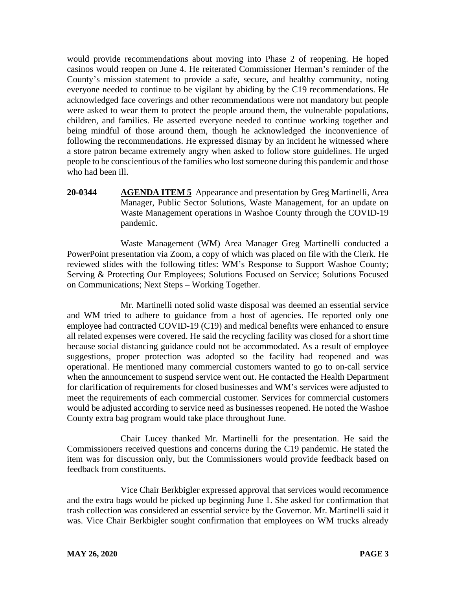would provide recommendations about moving into Phase 2 of reopening. He hoped casinos would reopen on June 4. He reiterated Commissioner Herman's reminder of the County's mission statement to provide a safe, secure, and healthy community, noting everyone needed to continue to be vigilant by abiding by the C19 recommendations. He acknowledged face coverings and other recommendations were not mandatory but people were asked to wear them to protect the people around them, the vulnerable populations, children, and families. He asserted everyone needed to continue working together and being mindful of those around them, though he acknowledged the inconvenience of following the recommendations. He expressed dismay by an incident he witnessed where a store patron became extremely angry when asked to follow store guidelines. He urged people to be conscientious of the families who lost someone during this pandemic and those who had been ill.

**20-0344 AGENDA ITEM 5** Appearance and presentation by Greg Martinelli, Area Manager, Public Sector Solutions, Waste Management, for an update on Waste Management operations in Washoe County through the COVID-19 pandemic.

Waste Management (WM) Area Manager Greg Martinelli conducted a PowerPoint presentation via Zoom, a copy of which was placed on file with the Clerk. He reviewed slides with the following titles: WM's Response to Support Washoe County; Serving & Protecting Our Employees; Solutions Focused on Service; Solutions Focused on Communications; Next Steps – Working Together.

Mr. Martinelli noted solid waste disposal was deemed an essential service and WM tried to adhere to guidance from a host of agencies. He reported only one employee had contracted COVID-19 (C19) and medical benefits were enhanced to ensure all related expenses were covered. He said the recycling facility was closed for a short time because social distancing guidance could not be accommodated. As a result of employee suggestions, proper protection was adopted so the facility had reopened and was operational. He mentioned many commercial customers wanted to go to on-call service when the announcement to suspend service went out. He contacted the Health Department for clarification of requirements for closed businesses and WM's services were adjusted to meet the requirements of each commercial customer. Services for commercial customers would be adjusted according to service need as businesses reopened. He noted the Washoe County extra bag program would take place throughout June.

Chair Lucey thanked Mr. Martinelli for the presentation. He said the Commissioners received questions and concerns during the C19 pandemic. He stated the item was for discussion only, but the Commissioners would provide feedback based on feedback from constituents.

Vice Chair Berkbigler expressed approval that services would recommence and the extra bags would be picked up beginning June 1. She asked for confirmation that trash collection was considered an essential service by the Governor. Mr. Martinelli said it was. Vice Chair Berkbigler sought confirmation that employees on WM trucks already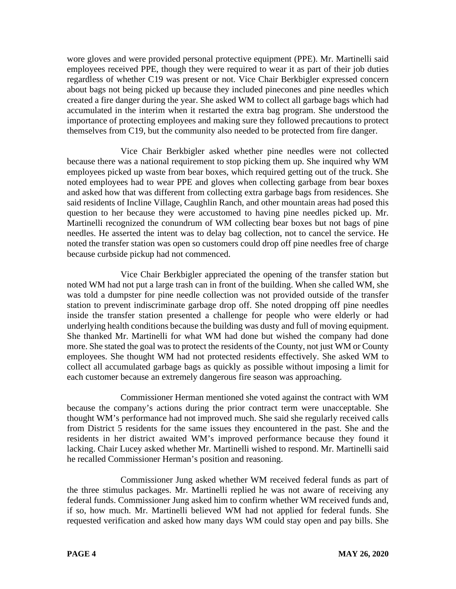wore gloves and were provided personal protective equipment (PPE). Mr. Martinelli said employees received PPE, though they were required to wear it as part of their job duties regardless of whether C19 was present or not. Vice Chair Berkbigler expressed concern about bags not being picked up because they included pinecones and pine needles which created a fire danger during the year. She asked WM to collect all garbage bags which had accumulated in the interim when it restarted the extra bag program. She understood the importance of protecting employees and making sure they followed precautions to protect themselves from C19, but the community also needed to be protected from fire danger.

Vice Chair Berkbigler asked whether pine needles were not collected because there was a national requirement to stop picking them up. She inquired why WM employees picked up waste from bear boxes, which required getting out of the truck. She noted employees had to wear PPE and gloves when collecting garbage from bear boxes and asked how that was different from collecting extra garbage bags from residences. She said residents of Incline Village, Caughlin Ranch, and other mountain areas had posed this question to her because they were accustomed to having pine needles picked up. Mr. Martinelli recognized the conundrum of WM collecting bear boxes but not bags of pine needles. He asserted the intent was to delay bag collection, not to cancel the service. He noted the transfer station was open so customers could drop off pine needles free of charge because curbside pickup had not commenced.

Vice Chair Berkbigler appreciated the opening of the transfer station but noted WM had not put a large trash can in front of the building. When she called WM, she was told a dumpster for pine needle collection was not provided outside of the transfer station to prevent indiscriminate garbage drop off. She noted dropping off pine needles inside the transfer station presented a challenge for people who were elderly or had underlying health conditions because the building was dusty and full of moving equipment. She thanked Mr. Martinelli for what WM had done but wished the company had done more. She stated the goal was to protect the residents of the County, not just WM or County employees. She thought WM had not protected residents effectively. She asked WM to collect all accumulated garbage bags as quickly as possible without imposing a limit for each customer because an extremely dangerous fire season was approaching.

Commissioner Herman mentioned she voted against the contract with WM because the company's actions during the prior contract term were unacceptable. She thought WM's performance had not improved much. She said she regularly received calls from District 5 residents for the same issues they encountered in the past. She and the residents in her district awaited WM's improved performance because they found it lacking. Chair Lucey asked whether Mr. Martinelli wished to respond. Mr. Martinelli said he recalled Commissioner Herman's position and reasoning.

Commissioner Jung asked whether WM received federal funds as part of the three stimulus packages. Mr. Martinelli replied he was not aware of receiving any federal funds. Commissioner Jung asked him to confirm whether WM received funds and, if so, how much. Mr. Martinelli believed WM had not applied for federal funds. She requested verification and asked how many days WM could stay open and pay bills. She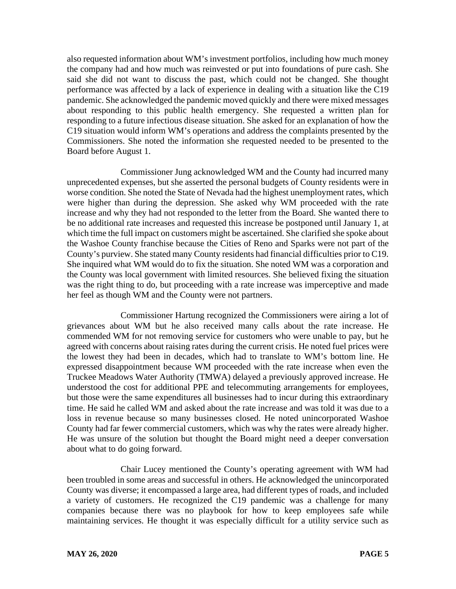also requested information about WM's investment portfolios, including how much money the company had and how much was reinvested or put into foundations of pure cash. She said she did not want to discuss the past, which could not be changed. She thought performance was affected by a lack of experience in dealing with a situation like the C19 pandemic. She acknowledged the pandemic moved quickly and there were mixed messages about responding to this public health emergency. She requested a written plan for responding to a future infectious disease situation. She asked for an explanation of how the C19 situation would inform WM's operations and address the complaints presented by the Commissioners. She noted the information she requested needed to be presented to the Board before August 1.

Commissioner Jung acknowledged WM and the County had incurred many unprecedented expenses, but she asserted the personal budgets of County residents were in worse condition. She noted the State of Nevada had the highest unemployment rates, which were higher than during the depression. She asked why WM proceeded with the rate increase and why they had not responded to the letter from the Board. She wanted there to be no additional rate increases and requested this increase be postponed until January 1, at which time the full impact on customers might be ascertained. She clarified she spoke about the Washoe County franchise because the Cities of Reno and Sparks were not part of the County's purview. She stated many County residents had financial difficulties prior to C19. She inquired what WM would do to fix the situation. She noted WM was a corporation and the County was local government with limited resources. She believed fixing the situation was the right thing to do, but proceeding with a rate increase was imperceptive and made her feel as though WM and the County were not partners.

Commissioner Hartung recognized the Commissioners were airing a lot of grievances about WM but he also received many calls about the rate increase. He commended WM for not removing service for customers who were unable to pay, but he agreed with concerns about raising rates during the current crisis. He noted fuel prices were the lowest they had been in decades, which had to translate to WM's bottom line. He expressed disappointment because WM proceeded with the rate increase when even the Truckee Meadows Water Authority (TMWA) delayed a previously approved increase. He understood the cost for additional PPE and telecommuting arrangements for employees, but those were the same expenditures all businesses had to incur during this extraordinary time. He said he called WM and asked about the rate increase and was told it was due to a loss in revenue because so many businesses closed. He noted unincorporated Washoe County had far fewer commercial customers, which was why the rates were already higher. He was unsure of the solution but thought the Board might need a deeper conversation about what to do going forward.

Chair Lucey mentioned the County's operating agreement with WM had been troubled in some areas and successful in others. He acknowledged the unincorporated County was diverse; it encompassed a large area, had different types of roads, and included a variety of customers. He recognized the C19 pandemic was a challenge for many companies because there was no playbook for how to keep employees safe while maintaining services. He thought it was especially difficult for a utility service such as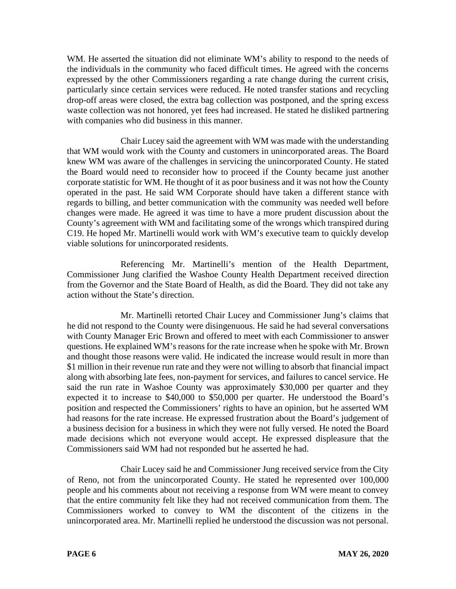WM. He asserted the situation did not eliminate WM's ability to respond to the needs of the individuals in the community who faced difficult times. He agreed with the concerns expressed by the other Commissioners regarding a rate change during the current crisis, particularly since certain services were reduced. He noted transfer stations and recycling drop-off areas were closed, the extra bag collection was postponed, and the spring excess waste collection was not honored, yet fees had increased. He stated he disliked partnering with companies who did business in this manner.

Chair Lucey said the agreement with WM was made with the understanding that WM would work with the County and customers in unincorporated areas. The Board knew WM was aware of the challenges in servicing the unincorporated County. He stated the Board would need to reconsider how to proceed if the County became just another corporate statistic for WM. He thought of it as poor business and it was not how the County operated in the past. He said WM Corporate should have taken a different stance with regards to billing, and better communication with the community was needed well before changes were made. He agreed it was time to have a more prudent discussion about the County's agreement with WM and facilitating some of the wrongs which transpired during C19. He hoped Mr. Martinelli would work with WM's executive team to quickly develop viable solutions for unincorporated residents.

Referencing Mr. Martinelli's mention of the Health Department, Commissioner Jung clarified the Washoe County Health Department received direction from the Governor and the State Board of Health, as did the Board. They did not take any action without the State's direction.

Mr. Martinelli retorted Chair Lucey and Commissioner Jung's claims that he did not respond to the County were disingenuous. He said he had several conversations with County Manager Eric Brown and offered to meet with each Commissioner to answer questions. He explained WM's reasons for the rate increase when he spoke with Mr. Brown and thought those reasons were valid. He indicated the increase would result in more than \$1 million in their revenue run rate and they were not willing to absorb that financial impact along with absorbing late fees, non-payment for services, and failures to cancel service. He said the run rate in Washoe County was approximately \$30,000 per quarter and they expected it to increase to \$40,000 to \$50,000 per quarter. He understood the Board's position and respected the Commissioners' rights to have an opinion, but he asserted WM had reasons for the rate increase. He expressed frustration about the Board's judgement of a business decision for a business in which they were not fully versed. He noted the Board made decisions which not everyone would accept. He expressed displeasure that the Commissioners said WM had not responded but he asserted he had.

Chair Lucey said he and Commissioner Jung received service from the City of Reno, not from the unincorporated County. He stated he represented over 100,000 people and his comments about not receiving a response from WM were meant to convey that the entire community felt like they had not received communication from them. The Commissioners worked to convey to WM the discontent of the citizens in the unincorporated area. Mr. Martinelli replied he understood the discussion was not personal.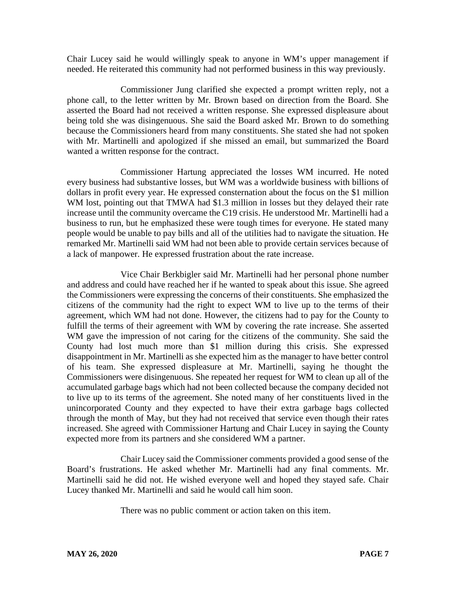Chair Lucey said he would willingly speak to anyone in WM's upper management if needed. He reiterated this community had not performed business in this way previously.

Commissioner Jung clarified she expected a prompt written reply, not a phone call, to the letter written by Mr. Brown based on direction from the Board. She asserted the Board had not received a written response. She expressed displeasure about being told she was disingenuous. She said the Board asked Mr. Brown to do something because the Commissioners heard from many constituents. She stated she had not spoken with Mr. Martinelli and apologized if she missed an email, but summarized the Board wanted a written response for the contract.

Commissioner Hartung appreciated the losses WM incurred. He noted every business had substantive losses, but WM was a worldwide business with billions of dollars in profit every year. He expressed consternation about the focus on the \$1 million WM lost, pointing out that TMWA had \$1.3 million in losses but they delayed their rate increase until the community overcame the C19 crisis. He understood Mr. Martinelli had a business to run, but he emphasized these were tough times for everyone. He stated many people would be unable to pay bills and all of the utilities had to navigate the situation. He remarked Mr. Martinelli said WM had not been able to provide certain services because of a lack of manpower. He expressed frustration about the rate increase.

Vice Chair Berkbigler said Mr. Martinelli had her personal phone number and address and could have reached her if he wanted to speak about this issue. She agreed the Commissioners were expressing the concerns of their constituents. She emphasized the citizens of the community had the right to expect WM to live up to the terms of their agreement, which WM had not done. However, the citizens had to pay for the County to fulfill the terms of their agreement with WM by covering the rate increase. She asserted WM gave the impression of not caring for the citizens of the community. She said the County had lost much more than \$1 million during this crisis. She expressed disappointment in Mr. Martinelli as she expected him as the manager to have better control of his team. She expressed displeasure at Mr. Martinelli, saying he thought the Commissioners were disingenuous. She repeated her request for WM to clean up all of the accumulated garbage bags which had not been collected because the company decided not to live up to its terms of the agreement. She noted many of her constituents lived in the unincorporated County and they expected to have their extra garbage bags collected through the month of May, but they had not received that service even though their rates increased. She agreed with Commissioner Hartung and Chair Lucey in saying the County expected more from its partners and she considered WM a partner.

Chair Lucey said the Commissioner comments provided a good sense of the Board's frustrations. He asked whether Mr. Martinelli had any final comments. Mr. Martinelli said he did not. He wished everyone well and hoped they stayed safe. Chair Lucey thanked Mr. Martinelli and said he would call him soon.

There was no public comment or action taken on this item.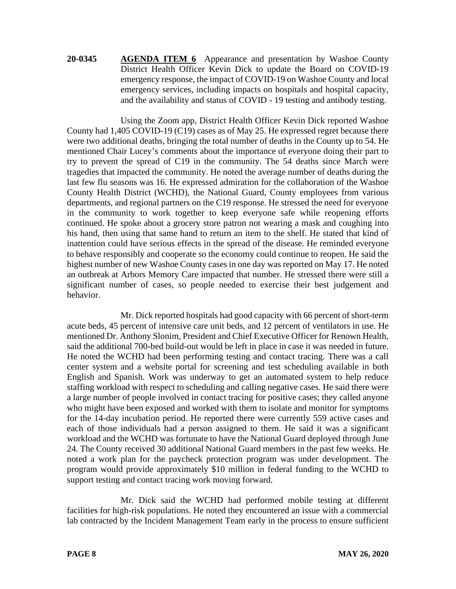**20-0345 AGENDA ITEM 6** Appearance and presentation by Washoe County District Health Officer Kevin Dick to update the Board on COVID-19 emergency response, the impact of COVID-19 on Washoe County and local emergency services, including impacts on hospitals and hospital capacity, and the availability and status of COVID - 19 testing and antibody testing.

Using the Zoom app, District Health Officer Kevin Dick reported Washoe County had 1,405 COVID-19 (C19) cases as of May 25. He expressed regret because there were two additional deaths, bringing the total number of deaths in the County up to 54. He mentioned Chair Lucey's comments about the importance of everyone doing their part to try to prevent the spread of C19 in the community. The 54 deaths since March were tragedies that impacted the community. He noted the average number of deaths during the last few flu seasons was 16. He expressed admiration for the collaboration of the Washoe County Health District (WCHD), the National Guard, County employees from various departments, and regional partners on the C19 response. He stressed the need for everyone in the community to work together to keep everyone safe while reopening efforts continued. He spoke about a grocery store patron not wearing a mask and coughing into his hand, then using that same hand to return an item to the shelf. He stated that kind of inattention could have serious effects in the spread of the disease. He reminded everyone to behave responsibly and cooperate so the economy could continue to reopen. He said the highest number of new Washoe County cases in one day was reported on May 17. He noted an outbreak at Arbors Memory Care impacted that number. He stressed there were still a significant number of cases, so people needed to exercise their best judgement and behavior.

Mr. Dick reported hospitals had good capacity with 66 percent of short-term acute beds, 45 percent of intensive care unit beds, and 12 percent of ventilators in use. He mentioned Dr. Anthony Slonim, President and Chief Executive Officer for Renown Health, said the additional 700-bed build-out would be left in place in case it was needed in future. He noted the WCHD had been performing testing and contact tracing. There was a call center system and a website portal for screening and test scheduling available in both English and Spanish. Work was underway to get an automated system to help reduce staffing workload with respect to scheduling and calling negative cases. He said there were a large number of people involved in contact tracing for positive cases; they called anyone who might have been exposed and worked with them to isolate and monitor for symptoms for the 14-day incubation period. He reported there were currently 559 active cases and each of those individuals had a person assigned to them. He said it was a significant workload and the WCHD was fortunate to have the National Guard deployed through June 24. The County received 30 additional National Guard members in the past few weeks. He noted a work plan for the paycheck protection program was under development. The program would provide approximately \$10 million in federal funding to the WCHD to support testing and contact tracing work moving forward.

Mr. Dick said the WCHD had performed mobile testing at different facilities for high-risk populations. He noted they encountered an issue with a commercial lab contracted by the Incident Management Team early in the process to ensure sufficient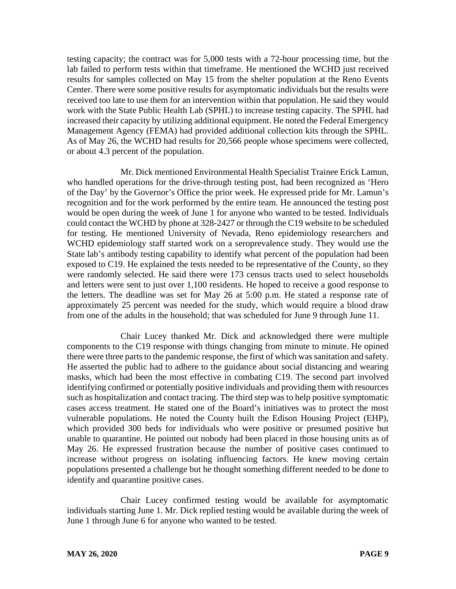testing capacity; the contract was for 5,000 tests with a 72-hour processing time, but the lab failed to perform tests within that timeframe. He mentioned the WCHD just received results for samples collected on May 15 from the shelter population at the Reno Events Center. There were some positive results for asymptomatic individuals but the results were received too late to use them for an intervention within that population. He said they would work with the State Public Health Lab (SPHL) to increase testing capacity. The SPHL had increased their capacity by utilizing additional equipment. He noted the Federal Emergency Management Agency (FEMA) had provided additional collection kits through the SPHL. As of May 26, the WCHD had results for 20,566 people whose specimens were collected, or about 4.3 percent of the population.

Mr. Dick mentioned Environmental Health Specialist Trainee Erick Lamun, who handled operations for the drive-through testing post, had been recognized as 'Hero of the Day' by the Governor's Office the prior week. He expressed pride for Mr. Lamun's recognition and for the work performed by the entire team. He announced the testing post would be open during the week of June 1 for anyone who wanted to be tested. Individuals could contact the WCHD by phone at 328-2427 or through the C19 website to be scheduled for testing. He mentioned University of Nevada, Reno epidemiology researchers and WCHD epidemiology staff started work on a seroprevalence study. They would use the State lab's antibody testing capability to identify what percent of the population had been exposed to C19. He explained the tests needed to be representative of the County, so they were randomly selected. He said there were 173 census tracts used to select households and letters were sent to just over 1,100 residents. He hoped to receive a good response to the letters. The deadline was set for May 26 at 5:00 p.m. He stated a response rate of approximately 25 percent was needed for the study, which would require a blood draw from one of the adults in the household; that was scheduled for June 9 through June 11.

Chair Lucey thanked Mr. Dick and acknowledged there were multiple components to the C19 response with things changing from minute to minute. He opined there were three parts to the pandemic response, the first of which was sanitation and safety. He asserted the public had to adhere to the guidance about social distancing and wearing masks, which had been the most effective in combating C19. The second part involved identifying confirmed or potentially positive individuals and providing them with resources such as hospitalization and contact tracing. The third step was to help positive symptomatic cases access treatment. He stated one of the Board's initiatives was to protect the most vulnerable populations. He noted the County built the Edison Housing Project (EHP), which provided 300 beds for individuals who were positive or presumed positive but unable to quarantine. He pointed out nobody had been placed in those housing units as of May 26. He expressed frustration because the number of positive cases continued to increase without progress on isolating influencing factors. He knew moving certain populations presented a challenge but he thought something different needed to be done to identify and quarantine positive cases.

Chair Lucey confirmed testing would be available for asymptomatic individuals starting June 1. Mr. Dick replied testing would be available during the week of June 1 through June 6 for anyone who wanted to be tested.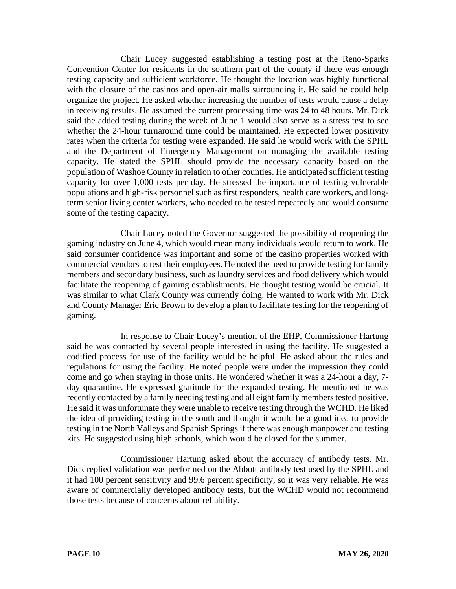Chair Lucey suggested establishing a testing post at the Reno-Sparks Convention Center for residents in the southern part of the county if there was enough testing capacity and sufficient workforce. He thought the location was highly functional with the closure of the casinos and open-air malls surrounding it. He said he could help organize the project. He asked whether increasing the number of tests would cause a delay in receiving results. He assumed the current processing time was 24 to 48 hours. Mr. Dick said the added testing during the week of June 1 would also serve as a stress test to see whether the 24-hour turnaround time could be maintained. He expected lower positivity rates when the criteria for testing were expanded. He said he would work with the SPHL and the Department of Emergency Management on managing the available testing capacity. He stated the SPHL should provide the necessary capacity based on the population of Washoe County in relation to other counties. He anticipated sufficient testing capacity for over 1,000 tests per day. He stressed the importance of testing vulnerable populations and high-risk personnel such as first responders, health care workers, and longterm senior living center workers, who needed to be tested repeatedly and would consume some of the testing capacity.

Chair Lucey noted the Governor suggested the possibility of reopening the gaming industry on June 4, which would mean many individuals would return to work. He said consumer confidence was important and some of the casino properties worked with commercial vendors to test their employees. He noted the need to provide testing for family members and secondary business, such as laundry services and food delivery which would facilitate the reopening of gaming establishments. He thought testing would be crucial. It was similar to what Clark County was currently doing. He wanted to work with Mr. Dick and County Manager Eric Brown to develop a plan to facilitate testing for the reopening of gaming.

In response to Chair Lucey's mention of the EHP, Commissioner Hartung said he was contacted by several people interested in using the facility. He suggested a codified process for use of the facility would be helpful. He asked about the rules and regulations for using the facility. He noted people were under the impression they could come and go when staying in those units. He wondered whether it was a 24-hour a day, 7 day quarantine. He expressed gratitude for the expanded testing. He mentioned he was recently contacted by a family needing testing and all eight family members tested positive. He said it was unfortunate they were unable to receive testing through the WCHD. He liked the idea of providing testing in the south and thought it would be a good idea to provide testing in the North Valleys and Spanish Springs if there was enough manpower and testing kits. He suggested using high schools, which would be closed for the summer.

Commissioner Hartung asked about the accuracy of antibody tests. Mr. Dick replied validation was performed on the Abbott antibody test used by the SPHL and it had 100 percent sensitivity and 99.6 percent specificity, so it was very reliable. He was aware of commercially developed antibody tests, but the WCHD would not recommend those tests because of concerns about reliability.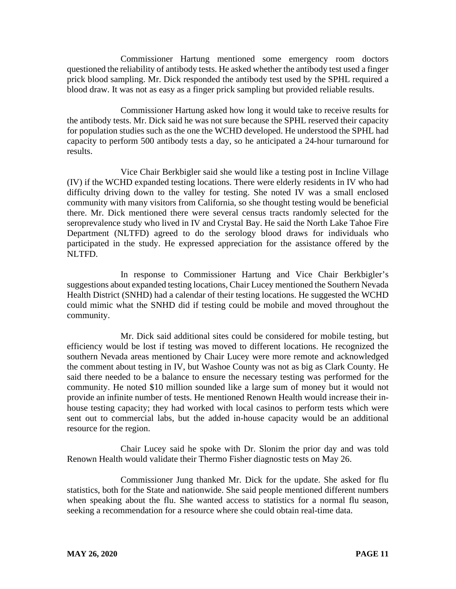Commissioner Hartung mentioned some emergency room doctors questioned the reliability of antibody tests. He asked whether the antibody test used a finger prick blood sampling. Mr. Dick responded the antibody test used by the SPHL required a blood draw. It was not as easy as a finger prick sampling but provided reliable results.

Commissioner Hartung asked how long it would take to receive results for the antibody tests. Mr. Dick said he was not sure because the SPHL reserved their capacity for population studies such as the one the WCHD developed. He understood the SPHL had capacity to perform 500 antibody tests a day, so he anticipated a 24-hour turnaround for results.

Vice Chair Berkbigler said she would like a testing post in Incline Village (IV) if the WCHD expanded testing locations. There were elderly residents in IV who had difficulty driving down to the valley for testing. She noted IV was a small enclosed community with many visitors from California, so she thought testing would be beneficial there. Mr. Dick mentioned there were several census tracts randomly selected for the seroprevalence study who lived in IV and Crystal Bay. He said the North Lake Tahoe Fire Department (NLTFD) agreed to do the serology blood draws for individuals who participated in the study. He expressed appreciation for the assistance offered by the NLTFD.

In response to Commissioner Hartung and Vice Chair Berkbigler's suggestions about expanded testing locations, Chair Lucey mentioned the Southern Nevada Health District (SNHD) had a calendar of their testing locations. He suggested the WCHD could mimic what the SNHD did if testing could be mobile and moved throughout the community.

Mr. Dick said additional sites could be considered for mobile testing, but efficiency would be lost if testing was moved to different locations. He recognized the southern Nevada areas mentioned by Chair Lucey were more remote and acknowledged the comment about testing in IV, but Washoe County was not as big as Clark County. He said there needed to be a balance to ensure the necessary testing was performed for the community. He noted \$10 million sounded like a large sum of money but it would not provide an infinite number of tests. He mentioned Renown Health would increase their inhouse testing capacity; they had worked with local casinos to perform tests which were sent out to commercial labs, but the added in-house capacity would be an additional resource for the region.

Chair Lucey said he spoke with Dr. Slonim the prior day and was told Renown Health would validate their Thermo Fisher diagnostic tests on May 26.

Commissioner Jung thanked Mr. Dick for the update. She asked for flu statistics, both for the State and nationwide. She said people mentioned different numbers when speaking about the flu. She wanted access to statistics for a normal flu season, seeking a recommendation for a resource where she could obtain real-time data.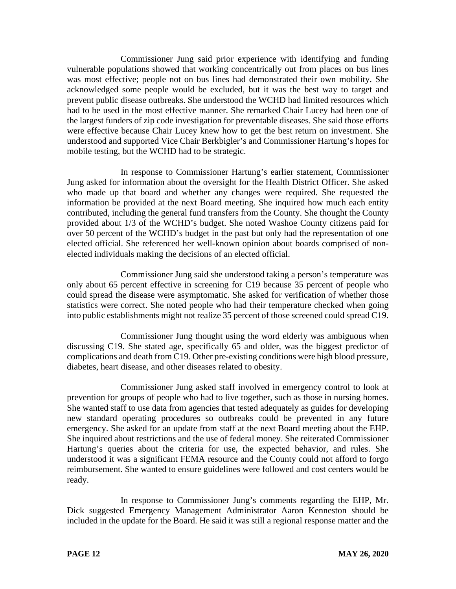Commissioner Jung said prior experience with identifying and funding vulnerable populations showed that working concentrically out from places on bus lines was most effective; people not on bus lines had demonstrated their own mobility. She acknowledged some people would be excluded, but it was the best way to target and prevent public disease outbreaks. She understood the WCHD had limited resources which had to be used in the most effective manner. She remarked Chair Lucey had been one of the largest funders of zip code investigation for preventable diseases. She said those efforts were effective because Chair Lucey knew how to get the best return on investment. She understood and supported Vice Chair Berkbigler's and Commissioner Hartung's hopes for mobile testing, but the WCHD had to be strategic.

In response to Commissioner Hartung's earlier statement, Commissioner Jung asked for information about the oversight for the Health District Officer. She asked who made up that board and whether any changes were required. She requested the information be provided at the next Board meeting. She inquired how much each entity contributed, including the general fund transfers from the County. She thought the County provided about 1/3 of the WCHD's budget. She noted Washoe County citizens paid for over 50 percent of the WCHD's budget in the past but only had the representation of one elected official. She referenced her well-known opinion about boards comprised of nonelected individuals making the decisions of an elected official.

Commissioner Jung said she understood taking a person's temperature was only about 65 percent effective in screening for C19 because 35 percent of people who could spread the disease were asymptomatic. She asked for verification of whether those statistics were correct. She noted people who had their temperature checked when going into public establishments might not realize 35 percent of those screened could spread C19.

Commissioner Jung thought using the word elderly was ambiguous when discussing C19. She stated age, specifically 65 and older, was the biggest predictor of complications and death from C19. Other pre-existing conditions were high blood pressure, diabetes, heart disease, and other diseases related to obesity.

Commissioner Jung asked staff involved in emergency control to look at prevention for groups of people who had to live together, such as those in nursing homes. She wanted staff to use data from agencies that tested adequately as guides for developing new standard operating procedures so outbreaks could be prevented in any future emergency. She asked for an update from staff at the next Board meeting about the EHP. She inquired about restrictions and the use of federal money. She reiterated Commissioner Hartung's queries about the criteria for use, the expected behavior, and rules. She understood it was a significant FEMA resource and the County could not afford to forgo reimbursement. She wanted to ensure guidelines were followed and cost centers would be ready.

In response to Commissioner Jung's comments regarding the EHP, Mr. Dick suggested Emergency Management Administrator Aaron Kenneston should be included in the update for the Board. He said it was still a regional response matter and the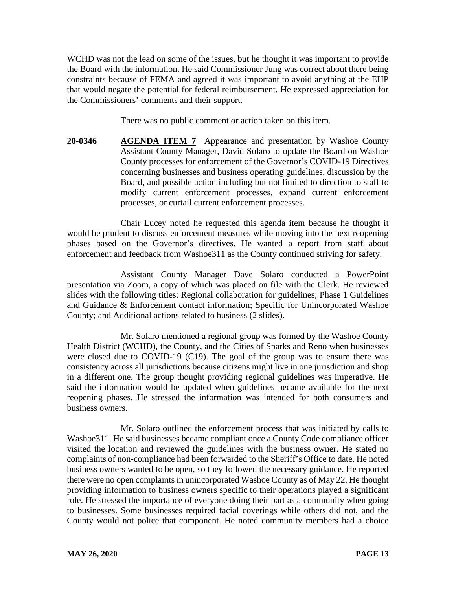WCHD was not the lead on some of the issues, but he thought it was important to provide the Board with the information. He said Commissioner Jung was correct about there being constraints because of FEMA and agreed it was important to avoid anything at the EHP that would negate the potential for federal reimbursement. He expressed appreciation for the Commissioners' comments and their support.

There was no public comment or action taken on this item.

**20-0346 AGENDA ITEM 7** Appearance and presentation by Washoe County Assistant County Manager, David Solaro to update the Board on Washoe County processes for enforcement of the Governor's COVID-19 Directives concerning businesses and business operating guidelines, discussion by the Board, and possible action including but not limited to direction to staff to modify current enforcement processes, expand current enforcement processes, or curtail current enforcement processes.

Chair Lucey noted he requested this agenda item because he thought it would be prudent to discuss enforcement measures while moving into the next reopening phases based on the Governor's directives. He wanted a report from staff about enforcement and feedback from Washoe311 as the County continued striving for safety.

Assistant County Manager Dave Solaro conducted a PowerPoint presentation via Zoom, a copy of which was placed on file with the Clerk. He reviewed slides with the following titles: Regional collaboration for guidelines; Phase 1 Guidelines and Guidance & Enforcement contact information; Specific for Unincorporated Washoe County; and Additional actions related to business (2 slides).

Mr. Solaro mentioned a regional group was formed by the Washoe County Health District (WCHD), the County, and the Cities of Sparks and Reno when businesses were closed due to COVID-19 (C19). The goal of the group was to ensure there was consistency across all jurisdictions because citizens might live in one jurisdiction and shop in a different one. The group thought providing regional guidelines was imperative. He said the information would be updated when guidelines became available for the next reopening phases. He stressed the information was intended for both consumers and business owners.

Mr. Solaro outlined the enforcement process that was initiated by calls to Washoe311. He said businesses became compliant once a County Code compliance officer visited the location and reviewed the guidelines with the business owner. He stated no complaints of non-compliance had been forwarded to the Sheriff's Office to date. He noted business owners wanted to be open, so they followed the necessary guidance. He reported there were no open complaints in unincorporated Washoe County as of May 22. He thought providing information to business owners specific to their operations played a significant role. He stressed the importance of everyone doing their part as a community when going to businesses. Some businesses required facial coverings while others did not, and the County would not police that component. He noted community members had a choice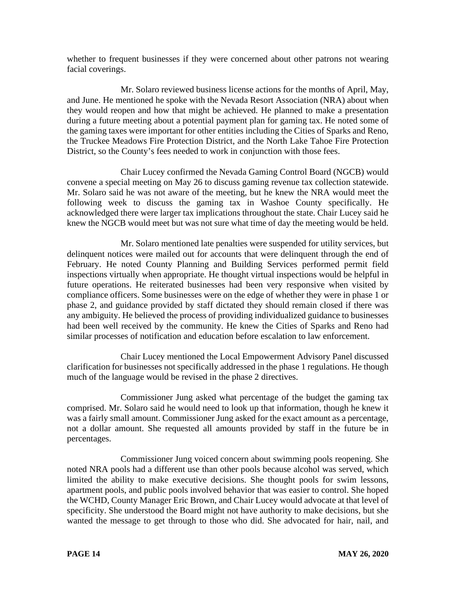whether to frequent businesses if they were concerned about other patrons not wearing facial coverings.

Mr. Solaro reviewed business license actions for the months of April, May, and June. He mentioned he spoke with the Nevada Resort Association (NRA) about when they would reopen and how that might be achieved. He planned to make a presentation during a future meeting about a potential payment plan for gaming tax. He noted some of the gaming taxes were important for other entities including the Cities of Sparks and Reno, the Truckee Meadows Fire Protection District, and the North Lake Tahoe Fire Protection District, so the County's fees needed to work in conjunction with those fees.

Chair Lucey confirmed the Nevada Gaming Control Board (NGCB) would convene a special meeting on May 26 to discuss gaming revenue tax collection statewide. Mr. Solaro said he was not aware of the meeting, but he knew the NRA would meet the following week to discuss the gaming tax in Washoe County specifically. He acknowledged there were larger tax implications throughout the state. Chair Lucey said he knew the NGCB would meet but was not sure what time of day the meeting would be held.

Mr. Solaro mentioned late penalties were suspended for utility services, but delinquent notices were mailed out for accounts that were delinquent through the end of February. He noted County Planning and Building Services performed permit field inspections virtually when appropriate. He thought virtual inspections would be helpful in future operations. He reiterated businesses had been very responsive when visited by compliance officers. Some businesses were on the edge of whether they were in phase 1 or phase 2, and guidance provided by staff dictated they should remain closed if there was any ambiguity. He believed the process of providing individualized guidance to businesses had been well received by the community. He knew the Cities of Sparks and Reno had similar processes of notification and education before escalation to law enforcement.

Chair Lucey mentioned the Local Empowerment Advisory Panel discussed clarification for businesses not specifically addressed in the phase 1 regulations. He though much of the language would be revised in the phase 2 directives.

Commissioner Jung asked what percentage of the budget the gaming tax comprised. Mr. Solaro said he would need to look up that information, though he knew it was a fairly small amount. Commissioner Jung asked for the exact amount as a percentage, not a dollar amount. She requested all amounts provided by staff in the future be in percentages.

Commissioner Jung voiced concern about swimming pools reopening. She noted NRA pools had a different use than other pools because alcohol was served, which limited the ability to make executive decisions. She thought pools for swim lessons, apartment pools, and public pools involved behavior that was easier to control. She hoped the WCHD, County Manager Eric Brown, and Chair Lucey would advocate at that level of specificity. She understood the Board might not have authority to make decisions, but she wanted the message to get through to those who did. She advocated for hair, nail, and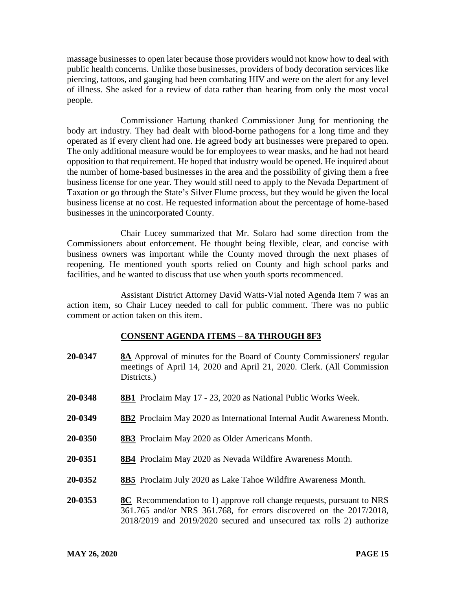massage businesses to open later because those providers would not know how to deal with public health concerns. Unlike those businesses, providers of body decoration services like piercing, tattoos, and gauging had been combating HIV and were on the alert for any level of illness. She asked for a review of data rather than hearing from only the most vocal people.

Commissioner Hartung thanked Commissioner Jung for mentioning the body art industry. They had dealt with blood-borne pathogens for a long time and they operated as if every client had one. He agreed body art businesses were prepared to open. The only additional measure would be for employees to wear masks, and he had not heard opposition to that requirement. He hoped that industry would be opened. He inquired about the number of home-based businesses in the area and the possibility of giving them a free business license for one year. They would still need to apply to the Nevada Department of Taxation or go through the State's Silver Flume process, but they would be given the local business license at no cost. He requested information about the percentage of home-based businesses in the unincorporated County.

Chair Lucey summarized that Mr. Solaro had some direction from the Commissioners about enforcement. He thought being flexible, clear, and concise with business owners was important while the County moved through the next phases of reopening. He mentioned youth sports relied on County and high school parks and facilities, and he wanted to discuss that use when youth sports recommenced.

Assistant District Attorney David Watts-Vial noted Agenda Item 7 was an action item, so Chair Lucey needed to call for public comment. There was no public comment or action taken on this item.

## **CONSENT AGENDA ITEMS** – **8A THROUGH 8F3**

| 20-0347 | <b>8A</b> Approval of minutes for the Board of County Commissioners' regular<br>meetings of April 14, 2020 and April 21, 2020. Clerk. (All Commission<br>Districts.)                                                            |
|---------|---------------------------------------------------------------------------------------------------------------------------------------------------------------------------------------------------------------------------------|
| 20-0348 | <b>8B1</b> Proclaim May 17 - 23, 2020 as National Public Works Week.                                                                                                                                                            |
| 20-0349 | <b>8B2</b> Proclaim May 2020 as International Internal Audit Awareness Month.                                                                                                                                                   |
| 20-0350 | <b>8B3</b> Proclaim May 2020 as Older Americans Month.                                                                                                                                                                          |
| 20-0351 | <b>8B4</b> Proclaim May 2020 as Nevada Wildfire Awareness Month.                                                                                                                                                                |
| 20-0352 | <b>8B5</b> Proclaim July 2020 as Lake Tahoe Wildfire Awareness Month.                                                                                                                                                           |
| 20-0353 | <b>8C</b> Recommendation to 1) approve roll change requests, pursuant to NRS<br>361.765 and/or NRS 361.768, for errors discovered on the 2017/2018,<br>$2018/2019$ and $2019/2020$ secured and unsecured tax rolls 2) authorize |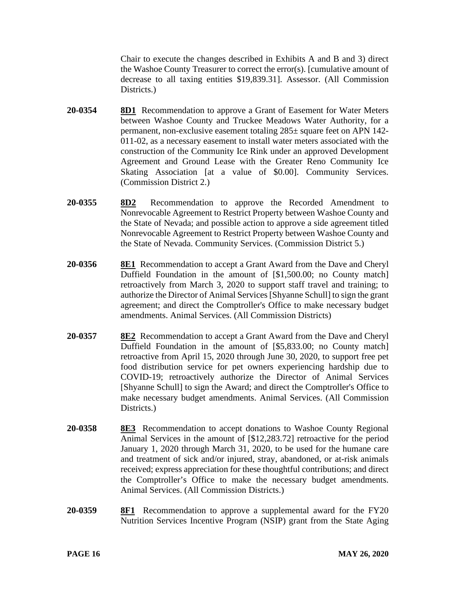Chair to execute the changes described in Exhibits A and B and 3) direct the Washoe County Treasurer to correct the error(s). [cumulative amount of decrease to all taxing entities \$19,839.31]. Assessor. (All Commission Districts.)

- **20-0354 8D1** Recommendation to approve a Grant of Easement for Water Meters between Washoe County and Truckee Meadows Water Authority, for a permanent, non-exclusive easement totaling 285± square feet on APN 142- 011-02, as a necessary easement to install water meters associated with the construction of the Community Ice Rink under an approved Development Agreement and Ground Lease with the Greater Reno Community Ice Skating Association [at a value of \$0.00]. Community Services. (Commission District 2.)
- **20-0355 8D2** Recommendation to approve the Recorded Amendment to Nonrevocable Agreement to Restrict Property between Washoe County and the State of Nevada; and possible action to approve a side agreement titled Nonrevocable Agreement to Restrict Property between Washoe County and the State of Nevada. Community Services. (Commission District 5.)
- **20-0356 8E1** Recommendation to accept a Grant Award from the Dave and Cheryl Duffield Foundation in the amount of [\$1,500.00; no County match] retroactively from March 3, 2020 to support staff travel and training; to authorize the Director of Animal Services [Shyanne Schull] to sign the grant agreement; and direct the Comptroller's Office to make necessary budget amendments. Animal Services. (All Commission Districts)
- **20-0357 8E2** Recommendation to accept a Grant Award from the Dave and Cheryl Duffield Foundation in the amount of [\$5,833.00; no County match] retroactive from April 15, 2020 through June 30, 2020, to support free pet food distribution service for pet owners experiencing hardship due to COVID-19; retroactively authorize the Director of Animal Services [Shyanne Schull] to sign the Award; and direct the Comptroller's Office to make necessary budget amendments. Animal Services. (All Commission Districts.)
- **20-0358 8E3** Recommendation to accept donations to Washoe County Regional Animal Services in the amount of [\$12,283.72] retroactive for the period January 1, 2020 through March 31, 2020, to be used for the humane care and treatment of sick and/or injured, stray, abandoned, or at-risk animals received; express appreciation for these thoughtful contributions; and direct the Comptroller's Office to make the necessary budget amendments. Animal Services. (All Commission Districts.)
- **20-0359 8F1** Recommendation to approve a supplemental award for the FY20 Nutrition Services Incentive Program (NSIP) grant from the State Aging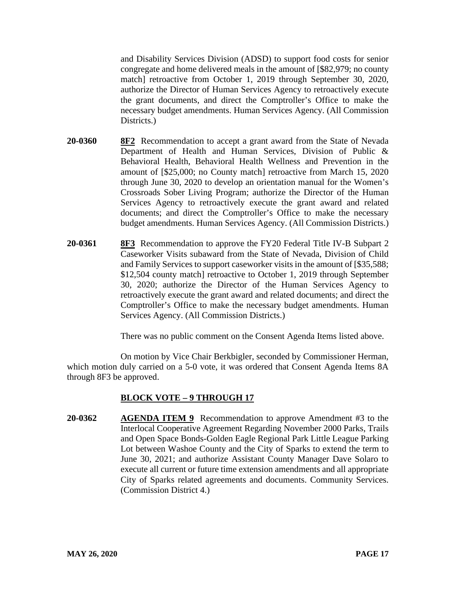and Disability Services Division (ADSD) to support food costs for senior congregate and home delivered meals in the amount of [\$82,979; no county match] retroactive from October 1, 2019 through September 30, 2020, authorize the Director of Human Services Agency to retroactively execute the grant documents, and direct the Comptroller's Office to make the necessary budget amendments. Human Services Agency. (All Commission Districts.)

- **20-0360 8F2** Recommendation to accept a grant award from the State of Nevada Department of Health and Human Services, Division of Public & Behavioral Health, Behavioral Health Wellness and Prevention in the amount of [\$25,000; no County match] retroactive from March 15, 2020 through June 30, 2020 to develop an orientation manual for the Women's Crossroads Sober Living Program; authorize the Director of the Human Services Agency to retroactively execute the grant award and related documents; and direct the Comptroller's Office to make the necessary budget amendments. Human Services Agency. (All Commission Districts.)
- **20-0361 8F3** Recommendation to approve the FY20 Federal Title IV-B Subpart 2 Caseworker Visits subaward from the State of Nevada, Division of Child and Family Services to support caseworker visits in the amount of [\$35,588; \$12,504 county match] retroactive to October 1, 2019 through September 30, 2020; authorize the Director of the Human Services Agency to retroactively execute the grant award and related documents; and direct the Comptroller's Office to make the necessary budget amendments. Human Services Agency. (All Commission Districts.)

There was no public comment on the Consent Agenda Items listed above.

On motion by Vice Chair Berkbigler, seconded by Commissioner Herman, which motion duly carried on a 5-0 vote, it was ordered that Consent Agenda Items 8A through 8F3 be approved.

## **BLOCK VOTE – 9 THROUGH 17**

**20-0362 AGENDA ITEM 9** Recommendation to approve Amendment #3 to the Interlocal Cooperative Agreement Regarding November 2000 Parks, Trails and Open Space Bonds-Golden Eagle Regional Park Little League Parking Lot between Washoe County and the City of Sparks to extend the term to June 30, 2021; and authorize Assistant County Manager Dave Solaro to execute all current or future time extension amendments and all appropriate City of Sparks related agreements and documents. Community Services. (Commission District 4.)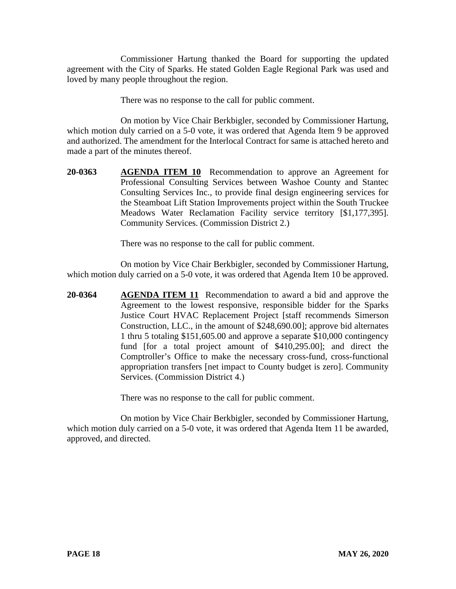Commissioner Hartung thanked the Board for supporting the updated agreement with the City of Sparks. He stated Golden Eagle Regional Park was used and loved by many people throughout the region.

There was no response to the call for public comment.

On motion by Vice Chair Berkbigler, seconded by Commissioner Hartung, which motion duly carried on a 5-0 vote, it was ordered that Agenda Item 9 be approved and authorized. The amendment for the Interlocal Contract for same is attached hereto and made a part of the minutes thereof.

**20-0363 AGENDA ITEM 10** Recommendation to approve an Agreement for Professional Consulting Services between Washoe County and Stantec Consulting Services Inc., to provide final design engineering services for the Steamboat Lift Station Improvements project within the South Truckee Meadows Water Reclamation Facility service territory [\$1,177,395]. Community Services. (Commission District 2.)

There was no response to the call for public comment.

On motion by Vice Chair Berkbigler, seconded by Commissioner Hartung, which motion duly carried on a 5-0 vote, it was ordered that Agenda Item 10 be approved.

**20-0364 AGENDA ITEM 11** Recommendation to award a bid and approve the Agreement to the lowest responsive, responsible bidder for the Sparks Justice Court HVAC Replacement Project [staff recommends Simerson Construction, LLC., in the amount of \$248,690.00]; approve bid alternates 1 thru 5 totaling \$151,605.00 and approve a separate \$10,000 contingency fund [for a total project amount of \$410,295.00]; and direct the Comptroller's Office to make the necessary cross-fund, cross-functional appropriation transfers [net impact to County budget is zero]. Community Services. (Commission District 4.)

There was no response to the call for public comment.

On motion by Vice Chair Berkbigler, seconded by Commissioner Hartung, which motion duly carried on a 5-0 vote, it was ordered that Agenda Item 11 be awarded, approved, and directed.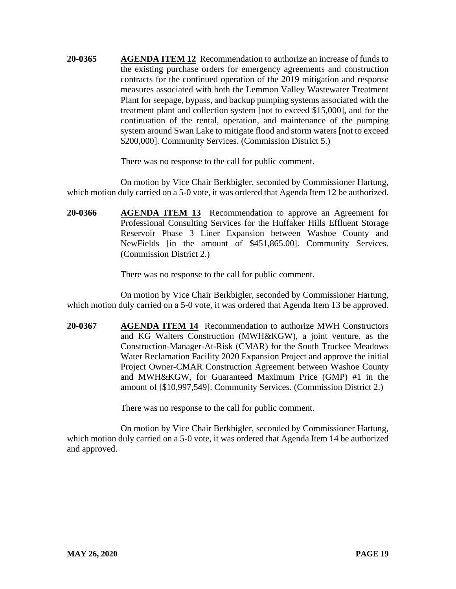**20-0365 AGENDA ITEM 12** Recommendation to authorize an increase of funds to the existing purchase orders for emergency agreements and construction contracts for the continued operation of the 2019 mitigation and response measures associated with both the Lemmon Valley Wastewater Treatment Plant for seepage, bypass, and backup pumping systems associated with the treatment plant and collection system [not to exceed \$15,000], and for the continuation of the rental, operation, and maintenance of the pumping system around Swan Lake to mitigate flood and storm waters [not to exceed \$200,000]. Community Services. (Commission District 5.)

There was no response to the call for public comment.

On motion by Vice Chair Berkbigler, seconded by Commissioner Hartung, which motion duly carried on a 5-0 vote, it was ordered that Agenda Item 12 be authorized.

**20-0366 AGENDA ITEM 13** Recommendation to approve an Agreement for Professional Consulting Services for the Huffaker Hills Effluent Storage Reservoir Phase 3 Liner Expansion between Washoe County and NewFields [in the amount of \$451,865.00]. Community Services. (Commission District 2.)

There was no response to the call for public comment.

On motion by Vice Chair Berkbigler, seconded by Commissioner Hartung, which motion duly carried on a 5-0 vote, it was ordered that Agenda Item 13 be approved.

**20-0367 AGENDA ITEM 14** Recommendation to authorize MWH Constructors and KG Walters Construction (MWH&KGW), a joint venture, as the Construction-Manager-At-Risk (CMAR) for the South Truckee Meadows Water Reclamation Facility 2020 Expansion Project and approve the initial Project Owner-CMAR Construction Agreement between Washoe County and MWH&KGW, for Guaranteed Maximum Price (GMP) #1 in the amount of [\$10,997,549]. Community Services. (Commission District 2.)

There was no response to the call for public comment.

On motion by Vice Chair Berkbigler, seconded by Commissioner Hartung, which motion duly carried on a 5-0 vote, it was ordered that Agenda Item 14 be authorized and approved.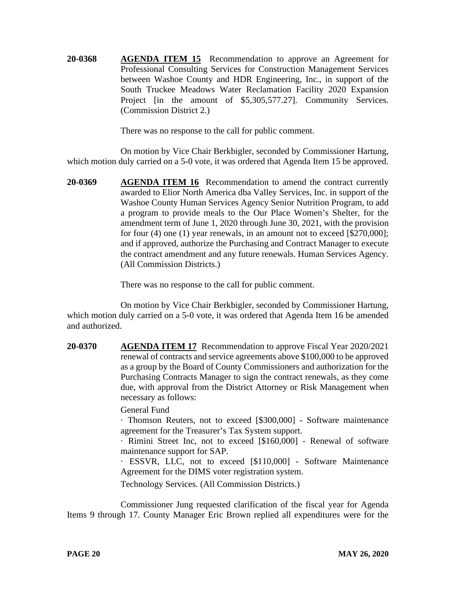**20-0368 AGENDA ITEM 15** Recommendation to approve an Agreement for Professional Consulting Services for Construction Management Services between Washoe County and HDR Engineering, Inc., in support of the South Truckee Meadows Water Reclamation Facility 2020 Expansion Project [in the amount of \$5,305,577.27]. Community Services. (Commission District 2.)

There was no response to the call for public comment.

On motion by Vice Chair Berkbigler, seconded by Commissioner Hartung, which motion duly carried on a 5-0 vote, it was ordered that Agenda Item 15 be approved.

**20-0369 AGENDA ITEM 16** Recommendation to amend the contract currently awarded to Elior North America dba Valley Services, Inc. in support of the Washoe County Human Services Agency Senior Nutrition Program, to add a program to provide meals to the Our Place Women's Shelter, for the amendment term of June 1, 2020 through June 30, 2021, with the provision for four (4) one (1) year renewals, in an amount not to exceed [\$270,000]; and if approved, authorize the Purchasing and Contract Manager to execute the contract amendment and any future renewals. Human Services Agency. (All Commission Districts.)

There was no response to the call for public comment.

On motion by Vice Chair Berkbigler, seconded by Commissioner Hartung, which motion duly carried on a 5-0 vote, it was ordered that Agenda Item 16 be amended and authorized.

**20-0370 AGENDA ITEM 17** Recommendation to approve Fiscal Year 2020/2021 renewal of contracts and service agreements above \$100,000 to be approved as a group by the Board of County Commissioners and authorization for the Purchasing Contracts Manager to sign the contract renewals, as they come due, with approval from the District Attorney or Risk Management when necessary as follows:

# General Fund

· Thomson Reuters, not to exceed [\$300,000] - Software maintenance agreement for the Treasurer's Tax System support.

· Rimini Street Inc, not to exceed [\$160,000] - Renewal of software maintenance support for SAP.

· ESSVR, LLC, not to exceed [\$110,000] - Software Maintenance Agreement for the DIMS voter registration system.

Technology Services. (All Commission Districts.)

Commissioner Jung requested clarification of the fiscal year for Agenda Items 9 through 17. County Manager Eric Brown replied all expenditures were for the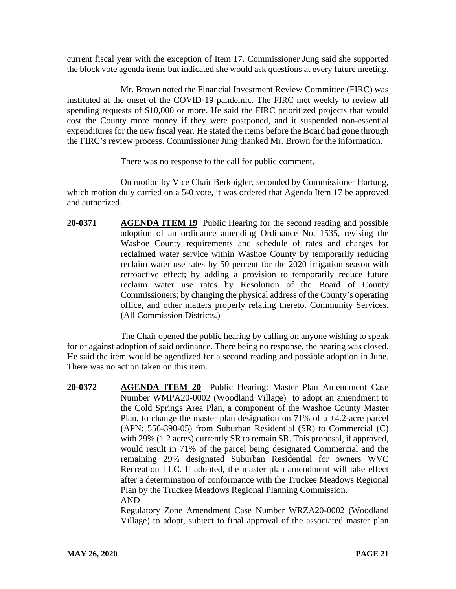current fiscal year with the exception of Item 17. Commissioner Jung said she supported the block vote agenda items but indicated she would ask questions at every future meeting.

Mr. Brown noted the Financial Investment Review Committee (FIRC) was instituted at the onset of the COVID-19 pandemic. The FIRC met weekly to review all spending requests of \$10,000 or more. He said the FIRC prioritized projects that would cost the County more money if they were postponed, and it suspended non-essential expenditures for the new fiscal year. He stated the items before the Board had gone through the FIRC's review process. Commissioner Jung thanked Mr. Brown for the information.

There was no response to the call for public comment.

On motion by Vice Chair Berkbigler, seconded by Commissioner Hartung, which motion duly carried on a 5-0 vote, it was ordered that Agenda Item 17 be approved and authorized.

**20-0371 AGENDA ITEM 19** Public Hearing for the second reading and possible adoption of an ordinance amending Ordinance No. 1535, revising the Washoe County requirements and schedule of rates and charges for reclaimed water service within Washoe County by temporarily reducing reclaim water use rates by 50 percent for the 2020 irrigation season with retroactive effect; by adding a provision to temporarily reduce future reclaim water use rates by Resolution of the Board of County Commissioners; by changing the physical address of the County's operating office, and other matters properly relating thereto. Community Services. (All Commission Districts.)

The Chair opened the public hearing by calling on anyone wishing to speak for or against adoption of said ordinance. There being no response, the hearing was closed. He said the item would be agendized for a second reading and possible adoption in June. There was no action taken on this item.

**20-0372 AGENDA ITEM 20** Public Hearing: Master Plan Amendment Case Number WMPA20-0002 (Woodland Village) to adopt an amendment to the Cold Springs Area Plan, a component of the Washoe County Master Plan, to change the master plan designation on 71% of a  $\pm$ 4.2-acre parcel (APN: 556-390-05) from Suburban Residential (SR) to Commercial (C) with 29% (1.2 acres) currently SR to remain SR. This proposal, if approved, would result in 71% of the parcel being designated Commercial and the remaining 29% designated Suburban Residential for owners WVC Recreation LLC. If adopted, the master plan amendment will take effect after a determination of conformance with the Truckee Meadows Regional Plan by the Truckee Meadows Regional Planning Commission. AND

Regulatory Zone Amendment Case Number WRZA20-0002 (Woodland Village) to adopt, subject to final approval of the associated master plan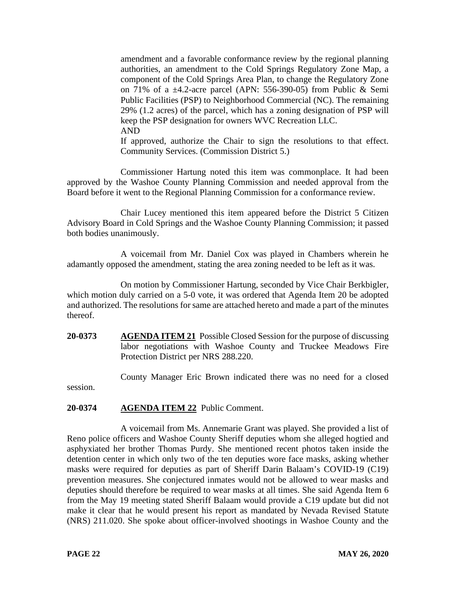amendment and a favorable conformance review by the regional planning authorities, an amendment to the Cold Springs Regulatory Zone Map, a component of the Cold Springs Area Plan, to change the Regulatory Zone on 71% of a ±4.2-acre parcel (APN: 556-390-05) from Public & Semi Public Facilities (PSP) to Neighborhood Commercial (NC). The remaining 29% (1.2 acres) of the parcel, which has a zoning designation of PSP will keep the PSP designation for owners WVC Recreation LLC. AND

If approved, authorize the Chair to sign the resolutions to that effect. Community Services. (Commission District 5.)

Commissioner Hartung noted this item was commonplace. It had been approved by the Washoe County Planning Commission and needed approval from the Board before it went to the Regional Planning Commission for a conformance review.

Chair Lucey mentioned this item appeared before the District 5 Citizen Advisory Board in Cold Springs and the Washoe County Planning Commission; it passed both bodies unanimously.

A voicemail from Mr. Daniel Cox was played in Chambers wherein he adamantly opposed the amendment, stating the area zoning needed to be left as it was.

On motion by Commissioner Hartung, seconded by Vice Chair Berkbigler, which motion duly carried on a 5-0 vote, it was ordered that Agenda Item 20 be adopted and authorized. The resolutions for same are attached hereto and made a part of the minutes thereof.

**20-0373 AGENDA ITEM 21** Possible Closed Session for the purpose of discussing labor negotiations with Washoe County and Truckee Meadows Fire Protection District per NRS 288.220.

County Manager Eric Brown indicated there was no need for a closed

session.

## **20-0374 AGENDA ITEM 22** Public Comment.

A voicemail from Ms. Annemarie Grant was played. She provided a list of Reno police officers and Washoe County Sheriff deputies whom she alleged hogtied and asphyxiated her brother Thomas Purdy. She mentioned recent photos taken inside the detention center in which only two of the ten deputies wore face masks, asking whether masks were required for deputies as part of Sheriff Darin Balaam's COVID-19 (C19) prevention measures. She conjectured inmates would not be allowed to wear masks and deputies should therefore be required to wear masks at all times. She said Agenda Item 6 from the May 19 meeting stated Sheriff Balaam would provide a C19 update but did not make it clear that he would present his report as mandated by Nevada Revised Statute (NRS) 211.020. She spoke about officer-involved shootings in Washoe County and the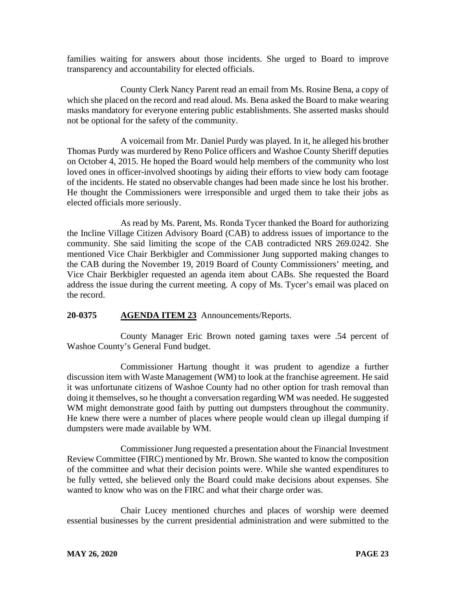families waiting for answers about those incidents. She urged to Board to improve transparency and accountability for elected officials.

County Clerk Nancy Parent read an email from Ms. Rosine Bena, a copy of which she placed on the record and read aloud. Ms. Bena asked the Board to make wearing masks mandatory for everyone entering public establishments. She asserted masks should not be optional for the safety of the community.

A voicemail from Mr. Daniel Purdy was played. In it, he alleged his brother Thomas Purdy was murdered by Reno Police officers and Washoe County Sheriff deputies on October 4, 2015. He hoped the Board would help members of the community who lost loved ones in officer-involved shootings by aiding their efforts to view body cam footage of the incidents. He stated no observable changes had been made since he lost his brother. He thought the Commissioners were irresponsible and urged them to take their jobs as elected officials more seriously.

As read by Ms. Parent, Ms. Ronda Tycer thanked the Board for authorizing the Incline Village Citizen Advisory Board (CAB) to address issues of importance to the community. She said limiting the scope of the CAB contradicted NRS 269.0242. She mentioned Vice Chair Berkbigler and Commissioner Jung supported making changes to the CAB during the November 19, 2019 Board of County Commissioners' meeting, and Vice Chair Berkbigler requested an agenda item about CABs. She requested the Board address the issue during the current meeting. A copy of Ms. Tycer's email was placed on the record.

# **20-0375 AGENDA ITEM 23** Announcements/Reports.

County Manager Eric Brown noted gaming taxes were .54 percent of Washoe County's General Fund budget.

Commissioner Hartung thought it was prudent to agendize a further discussion item with Waste Management (WM) to look at the franchise agreement. He said it was unfortunate citizens of Washoe County had no other option for trash removal than doing it themselves, so he thought a conversation regarding WM was needed. He suggested WM might demonstrate good faith by putting out dumpsters throughout the community. He knew there were a number of places where people would clean up illegal dumping if dumpsters were made available by WM.

Commissioner Jung requested a presentation about the Financial Investment Review Committee (FIRC) mentioned by Mr. Brown. She wanted to know the composition of the committee and what their decision points were. While she wanted expenditures to be fully vetted, she believed only the Board could make decisions about expenses. She wanted to know who was on the FIRC and what their charge order was.

Chair Lucey mentioned churches and places of worship were deemed essential businesses by the current presidential administration and were submitted to the